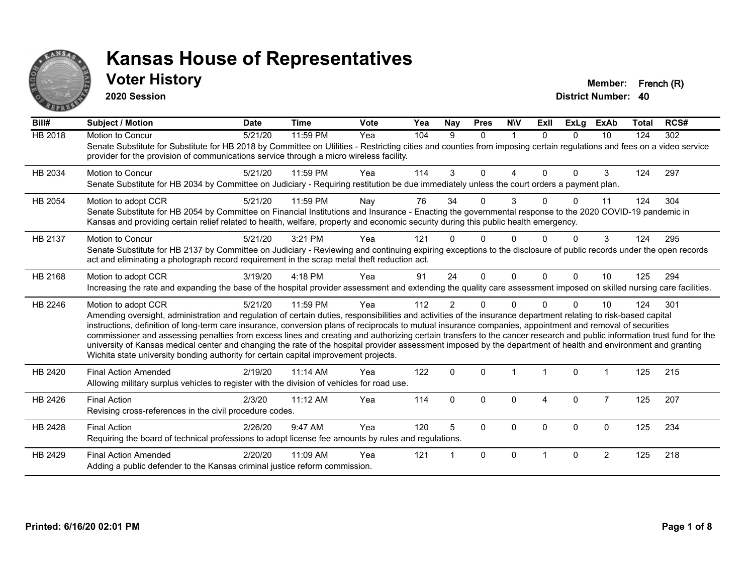

#### **Voter History Member: French (R)**

**2020 Session**

| Bill#          | <b>Subject / Motion</b>                                                                                                                                                                                                                                                                                                                                                                                                                                                                                                                                                                                                                                                                                                                                                                  | <b>Date</b> | <b>Time</b> | <b>Vote</b> | Yea | Nay            | <b>Pres</b> | <b>NIV</b>  | ExII     | <b>ExLg</b> | <b>ExAb</b>    | <b>Total</b> | RCS# |
|----------------|------------------------------------------------------------------------------------------------------------------------------------------------------------------------------------------------------------------------------------------------------------------------------------------------------------------------------------------------------------------------------------------------------------------------------------------------------------------------------------------------------------------------------------------------------------------------------------------------------------------------------------------------------------------------------------------------------------------------------------------------------------------------------------------|-------------|-------------|-------------|-----|----------------|-------------|-------------|----------|-------------|----------------|--------------|------|
| <b>HB 2018</b> | Motion to Concur<br>Senate Substitute for Substitute for HB 2018 by Committee on Utilities - Restricting cities and counties from imposing certain regulations and fees on a video service<br>provider for the provision of communications service through a micro wireless facility.                                                                                                                                                                                                                                                                                                                                                                                                                                                                                                    | 5/21/20     | 11:59 PM    | Yea         | 104 | 9              | $\Omega$    | $\mathbf 1$ | $\Omega$ | $\Omega$    | 10             | 124          | 302  |
| HB 2034        | <b>Motion to Concur</b><br>Senate Substitute for HB 2034 by Committee on Judiciary - Requiring restitution be due immediately unless the court orders a payment plan.                                                                                                                                                                                                                                                                                                                                                                                                                                                                                                                                                                                                                    | 5/21/20     | 11:59 PM    | Yea         | 114 | 3              | $\Omega$    | 4           | $\Omega$ | $\Omega$    | 3              | 124          | 297  |
| HB 2054        | Motion to adopt CCR<br>Senate Substitute for HB 2054 by Committee on Financial Institutions and Insurance - Enacting the governmental response to the 2020 COVID-19 pandemic in<br>Kansas and providing certain relief related to health, welfare, property and economic security during this public health emergency.                                                                                                                                                                                                                                                                                                                                                                                                                                                                   | 5/21/20     | 11:59 PM    | Nay         | 76  | 34             | 0           | 3           |          | 0           | 11             | 124          | 304  |
| HB 2137        | Motion to Concur<br>Senate Substitute for HB 2137 by Committee on Judiciary - Reviewing and continuing expiring exceptions to the disclosure of public records under the open records<br>act and eliminating a photograph record requirement in the scrap metal theft reduction act.                                                                                                                                                                                                                                                                                                                                                                                                                                                                                                     | 5/21/20     | 3:21 PM     | Yea         | 121 |                | 0           | O           |          | 0           | 3              | 124          | 295  |
| HB 2168        | Motion to adopt CCR<br>Increasing the rate and expanding the base of the hospital provider assessment and extending the quality care assessment imposed on skilled nursing care facilities.                                                                                                                                                                                                                                                                                                                                                                                                                                                                                                                                                                                              | 3/19/20     | 4:18 PM     | Yea         | 91  | 24             | $\Omega$    | $\Omega$    | $\Omega$ | $\Omega$    | 10             | 125          | 294  |
| HB 2246        | Motion to adopt CCR<br>Amending oversight, administration and regulation of certain duties, responsibilities and activities of the insurance department relating to risk-based capital<br>instructions, definition of long-term care insurance, conversion plans of reciprocals to mutual insurance companies, appointment and removal of securities<br>commissioner and assessing penalties from excess lines and creating and authorizing certain transfers to the cancer research and public information trust fund for the<br>university of Kansas medical center and changing the rate of the hospital provider assessment imposed by the department of health and environment and granting<br>Wichita state university bonding authority for certain capital improvement projects. | 5/21/20     | 11:59 PM    | Yea         | 112 | $\overline{2}$ | 0           | $\Omega$    |          | $\Omega$    | 10             | 124          | 301  |
| HB 2420        | <b>Final Action Amended</b><br>Allowing military surplus vehicles to register with the division of vehicles for road use.                                                                                                                                                                                                                                                                                                                                                                                                                                                                                                                                                                                                                                                                | 2/19/20     | $11:14$ AM  | Yea         | 122 | $\mathbf 0$    | $\Omega$    |             |          | $\mathbf 0$ |                | 125          | 215  |
| HB 2426        | <b>Final Action</b><br>Revising cross-references in the civil procedure codes.                                                                                                                                                                                                                                                                                                                                                                                                                                                                                                                                                                                                                                                                                                           | 2/3/20      | 11:12 AM    | Yea         | 114 | $\Omega$       | $\Omega$    | 0           | 4        | $\mathbf 0$ | $\overline{7}$ | 125          | 207  |
| HB 2428        | <b>Final Action</b><br>Requiring the board of technical professions to adopt license fee amounts by rules and regulations.                                                                                                                                                                                                                                                                                                                                                                                                                                                                                                                                                                                                                                                               | 2/26/20     | 9:47 AM     | Yea         | 120 | 5              | $\Omega$    | 0           | $\Omega$ | $\mathbf 0$ | $\mathbf 0$    | 125          | 234  |
| HB 2429        | <b>Final Action Amended</b><br>Adding a public defender to the Kansas criminal justice reform commission.                                                                                                                                                                                                                                                                                                                                                                                                                                                                                                                                                                                                                                                                                | 2/20/20     | 11:09 AM    | Yea         | 121 |                | $\Omega$    | $\Omega$    |          | $\Omega$    | $\overline{2}$ | 125          | 218  |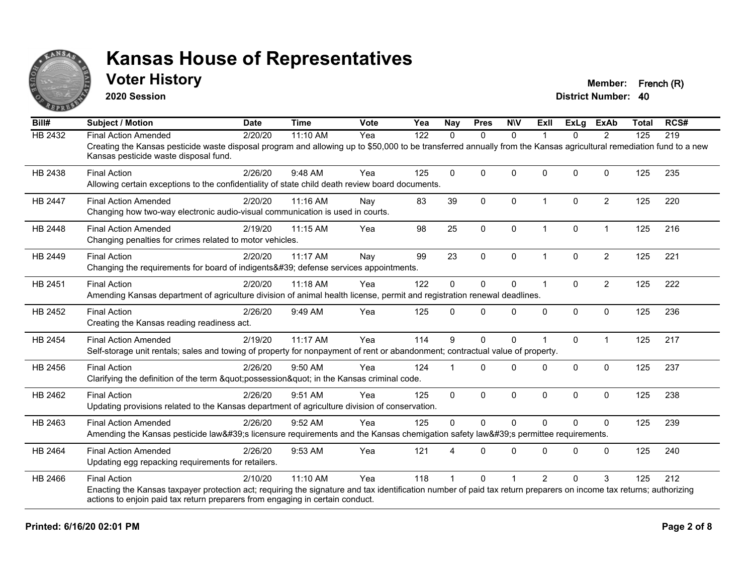

#### **Voter History Member: French (R)**

**2020 Session**

| Bill#          | <b>Subject / Motion</b>                                                                                                                                                                                     | <b>Date</b> | <b>Time</b> | <b>Vote</b> | Yea | <b>Nay</b>   | <b>Pres</b>  | <b>NIV</b>   | Exll                 | <b>ExLg</b>  | <b>ExAb</b>    | <b>Total</b> | RCS# |
|----------------|-------------------------------------------------------------------------------------------------------------------------------------------------------------------------------------------------------------|-------------|-------------|-------------|-----|--------------|--------------|--------------|----------------------|--------------|----------------|--------------|------|
| HB 2432        | <b>Final Action Amended</b>                                                                                                                                                                                 | 2/20/20     | 11:10 AM    | Yea         | 122 | $\Omega$     | $\mathbf{0}$ | $\Omega$     |                      | $\Omega$     | 2              | 125          | 219  |
|                | Creating the Kansas pesticide waste disposal program and allowing up to \$50,000 to be transferred annually from the Kansas agricultural remediation fund to a new<br>Kansas pesticide waste disposal fund. |             |             |             |     |              |              |              |                      |              |                |              |      |
| HB 2438        | <b>Final Action</b>                                                                                                                                                                                         | 2/26/20     | 9:48 AM     | Yea         | 125 | $\Omega$     | $\mathbf{0}$ | $\Omega$     | $\Omega$             | $\Omega$     | $\mathbf 0$    | 125          | 235  |
|                | Allowing certain exceptions to the confidentiality of state child death review board documents.                                                                                                             |             |             |             |     |              |              |              |                      |              |                |              |      |
| <b>HB 2447</b> | <b>Final Action Amended</b>                                                                                                                                                                                 | 2/20/20     | 11:16 AM    | Nay         | 83  | 39           | $\mathbf{0}$ | $\Omega$     | $\blacktriangleleft$ | $\Omega$     | $\overline{2}$ | 125          | 220  |
|                | Changing how two-way electronic audio-visual communication is used in courts.                                                                                                                               |             |             |             |     |              |              |              |                      |              |                |              |      |
| HB 2448        | <b>Final Action Amended</b>                                                                                                                                                                                 | 2/19/20     | 11:15 AM    | Yea         | 98  | 25           | 0            | $\mathbf 0$  | $\mathbf 1$          | 0            | $\mathbf{1}$   | 125          | 216  |
|                | Changing penalties for crimes related to motor vehicles.                                                                                                                                                    |             |             |             |     |              |              |              |                      |              |                |              |      |
| HB 2449        | <b>Final Action</b>                                                                                                                                                                                         | 2/20/20     | 11:17 AM    | Nay         | 99  | 23           | $\mathbf{0}$ | $\Omega$     | $\overline{1}$       | $\Omega$     | $\overline{2}$ | 125          | 221  |
|                | Changing the requirements for board of indigents' defense services appointments.                                                                                                                            |             |             |             |     |              |              |              |                      |              |                |              |      |
| HB 2451        | <b>Final Action</b>                                                                                                                                                                                         | 2/20/20     | 11:18 AM    | Yea         | 122 | $\Omega$     | $\mathbf 0$  | 0            | $\overline{1}$       | $\mathbf{0}$ | $\overline{2}$ | 125          | 222  |
|                | Amending Kansas department of agriculture division of animal health license, permit and registration renewal deadlines.                                                                                     |             |             |             |     |              |              |              |                      |              |                |              |      |
| HB 2452        | <b>Final Action</b>                                                                                                                                                                                         | 2/26/20     | 9:49 AM     | Yea         | 125 | $\Omega$     | $\Omega$     | $\Omega$     | $\Omega$             | $\mathbf 0$  | $\mathbf 0$    | 125          | 236  |
|                | Creating the Kansas reading readiness act.                                                                                                                                                                  |             |             |             |     |              |              |              |                      |              |                |              |      |
| HB 2454        | <b>Final Action Amended</b>                                                                                                                                                                                 | 2/19/20     | 11:17 AM    | Yea         | 114 | 9            | $\mathbf{0}$ | $\Omega$     |                      | $\Omega$     | $\mathbf{1}$   | 125          | 217  |
|                | Self-storage unit rentals; sales and towing of property for nonpayment of rent or abandonment; contractual value of property.                                                                               |             |             |             |     |              |              |              |                      |              |                |              |      |
| HB 2456        | <b>Final Action</b>                                                                                                                                                                                         | 2/26/20     | 9:50 AM     | Yea         | 124 |              | $\Omega$     | $\Omega$     | $\Omega$             | $\Omega$     | $\mathbf{0}$   | 125          | 237  |
|                | Clarifying the definition of the term "possession" in the Kansas criminal code.                                                                                                                             |             |             |             |     |              |              |              |                      |              |                |              |      |
| HB 2462        | <b>Final Action</b>                                                                                                                                                                                         | 2/26/20     | 9:51 AM     | Yea         | 125 | $\mathbf{0}$ | $\mathbf 0$  | $\Omega$     | $\mathbf{0}$         | $\Omega$     | $\mathbf 0$    | 125          | 238  |
|                | Updating provisions related to the Kansas department of agriculture division of conservation.                                                                                                               |             |             |             |     |              |              |              |                      |              |                |              |      |
| HB 2463        | <b>Final Action Amended</b>                                                                                                                                                                                 | 2/26/20     | 9:52 AM     | Yea         | 125 | $\mathbf{0}$ | $\mathbf{0}$ | $\mathbf{0}$ | $\Omega$             | $\Omega$     | $\mathbf{0}$   | 125          | 239  |
|                | Amending the Kansas pesticide law's licensure requirements and the Kansas chemigation safety law's permittee requirements.                                                                                  |             |             |             |     |              |              |              |                      |              |                |              |      |
| HB 2464        | <b>Final Action Amended</b>                                                                                                                                                                                 | 2/26/20     | 9:53 AM     | Yea         | 121 |              | $\Omega$     | $\Omega$     | $\Omega$             | $\Omega$     | $\Omega$       | 125          | 240  |
|                | Updating egg repacking requirements for retailers.                                                                                                                                                          |             |             |             |     |              |              |              |                      |              |                |              |      |
| HB 2466        | <b>Final Action</b>                                                                                                                                                                                         | 2/10/20     | 11:10 AM    | Yea         | 118 |              | $\Omega$     |              | $\overline{2}$       | $\Omega$     | 3              | 125          | 212  |
|                | Enacting the Kansas taxpayer protection act; requiring the signature and tax identification number of paid tax return preparers on income tax returns; authorizing                                          |             |             |             |     |              |              |              |                      |              |                |              |      |
|                | actions to enjoin paid tax return preparers from engaging in certain conduct.                                                                                                                               |             |             |             |     |              |              |              |                      |              |                |              |      |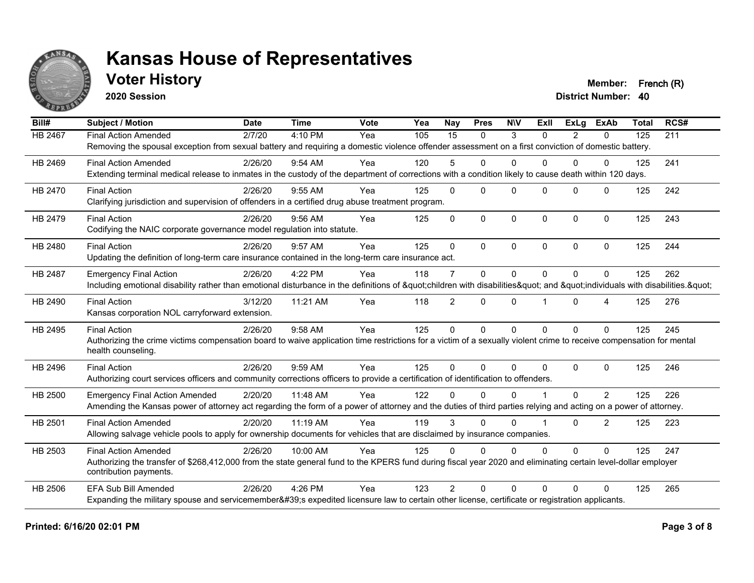

### **Voter History Member: French (R)**

**2020 Session**

| Bill#   | <b>Subject / Motion</b>                                                                                                                                             | <b>Date</b> | <b>Time</b> | Vote | $\overline{Y}$ ea | Nay             | <b>Pres</b>  | <b>NIV</b> | ExIl     | <b>ExLg</b> | <b>ExAb</b>  | <b>Total</b> | RCS# |
|---------|---------------------------------------------------------------------------------------------------------------------------------------------------------------------|-------------|-------------|------|-------------------|-----------------|--------------|------------|----------|-------------|--------------|--------------|------|
| HB 2467 | <b>Final Action Amended</b>                                                                                                                                         | 2/7/20      | 4:10 PM     | Yea  | 105               | $\overline{15}$ | $\Omega$     | 3          | $\Omega$ | 2           | $\mathbf{0}$ | 125          | 211  |
|         | Removing the spousal exception from sexual battery and requiring a domestic violence offender assessment on a first conviction of domestic battery.                 |             |             |      |                   |                 |              |            |          |             |              |              |      |
| HB 2469 | <b>Final Action Amended</b>                                                                                                                                         | 2/26/20     | $9:54$ AM   | Yea  | 120               | 5.              | $\Omega$     | $\Omega$   | 0        | 0           | $\Omega$     | 125          | 241  |
|         | Extending terminal medical release to inmates in the custody of the department of corrections with a condition likely to cause death within 120 days.               |             |             |      |                   |                 |              |            |          |             |              |              |      |
| HB 2470 | <b>Final Action</b>                                                                                                                                                 | 2/26/20     | 9:55 AM     | Yea  | 125               | $\mathbf{0}$    | $\Omega$     | $\Omega$   | $\Omega$ | $\Omega$    | $\Omega$     | 125          | 242  |
|         | Clarifying jurisdiction and supervision of offenders in a certified drug abuse treatment program.                                                                   |             |             |      |                   |                 |              |            |          |             |              |              |      |
| HB 2479 | <b>Final Action</b>                                                                                                                                                 | 2/26/20     | $9:56$ AM   | Yea  | 125               | $\mathbf{0}$    | $\mathbf{0}$ | $\Omega$   | $\Omega$ | $\Omega$    | $\Omega$     | 125          | 243  |
|         | Codifying the NAIC corporate governance model regulation into statute.                                                                                              |             |             |      |                   |                 |              |            |          |             |              |              |      |
| HB 2480 | <b>Final Action</b>                                                                                                                                                 | 2/26/20     | 9:57 AM     | Yea  | 125               | $\Omega$        | $\Omega$     | $\Omega$   | $\Omega$ | $\Omega$    | $\Omega$     | 125          | 244  |
|         | Updating the definition of long-term care insurance contained in the long-term care insurance act.                                                                  |             |             |      |                   |                 |              |            |          |             |              |              |      |
| HB 2487 | <b>Emergency Final Action</b>                                                                                                                                       | 2/26/20     | 4:22 PM     | Yea  | 118               | $\overline{7}$  | $\mathbf 0$  | $\Omega$   | $\Omega$ | $\Omega$    | $\mathbf 0$  | 125          | 262  |
|         | Including emotional disability rather than emotional disturbance in the definitions of "children with disabilities" and "individuals with disabilities. "           |             |             |      |                   |                 |              |            |          |             |              |              |      |
| HB 2490 | <b>Final Action</b>                                                                                                                                                 | 3/12/20     | 11:21 AM    | Yea  | 118               | $\overline{2}$  | $\mathbf{0}$ | $\Omega$   |          | $\Omega$    | 4            | 125          | 276  |
|         | Kansas corporation NOL carryforward extension.                                                                                                                      |             |             |      |                   |                 |              |            |          |             |              |              |      |
| HB 2495 | <b>Final Action</b>                                                                                                                                                 | 2/26/20     | 9:58 AM     | Yea  | 125               | $\mathbf{0}$    | $\Omega$     | $\Omega$   | $\Omega$ | $\Omega$    | $\Omega$     | 125          | 245  |
|         | Authorizing the crime victims compensation board to waive application time restrictions for a victim of a sexually violent crime to receive compensation for mental |             |             |      |                   |                 |              |            |          |             |              |              |      |
|         | health counseling.                                                                                                                                                  |             |             |      |                   |                 |              |            |          |             |              |              |      |
| HB 2496 | <b>Final Action</b>                                                                                                                                                 | 2/26/20     | 9:59 AM     | Yea  | 125               | $\Omega$        | $\Omega$     | $\Omega$   | $\Omega$ | $\Omega$    | $\Omega$     | 125          | 246  |
|         | Authorizing court services officers and community corrections officers to provide a certification of identification to offenders.                                   |             |             |      |                   |                 |              |            |          |             |              |              |      |
| HB 2500 | <b>Emergency Final Action Amended</b>                                                                                                                               | 2/20/20     | 11:48 AM    | Yea  | 122               | $\Omega$        | $\Omega$     | $\Omega$   |          | $\Omega$    | 2            | 125          | 226  |
|         | Amending the Kansas power of attorney act regarding the form of a power of attorney and the duties of third parties relying and acting on a power of attorney.      |             |             |      |                   |                 |              |            |          |             |              |              |      |
| HB 2501 | <b>Final Action Amended</b>                                                                                                                                         | 2/20/20     | 11:19 AM    | Yea  | 119               | 3               | $\Omega$     | $\Omega$   |          | $\Omega$    | 2            | 125          | 223  |
|         | Allowing salvage vehicle pools to apply for ownership documents for vehicles that are disclaimed by insurance companies.                                            |             |             |      |                   |                 |              |            |          |             |              |              |      |
| HB 2503 | <b>Final Action Amended</b>                                                                                                                                         | 2/26/20     | 10:00 AM    | Yea  | 125               | $\Omega$        | $\Omega$     | $\Omega$   | 0        | $\Omega$    | $\Omega$     | 125          | 247  |
|         | Authorizing the transfer of \$268,412,000 from the state general fund to the KPERS fund during fiscal year 2020 and eliminating certain level-dollar employer       |             |             |      |                   |                 |              |            |          |             |              |              |      |
|         | contribution payments.                                                                                                                                              |             |             |      |                   |                 |              |            |          |             |              |              |      |
| HB 2506 | EFA Sub Bill Amended                                                                                                                                                | 2/26/20     | 4:26 PM     | Yea  | 123               | $\mathcal{P}$   | $\Omega$     | $\Omega$   | $\Omega$ | 0           | $\Omega$     | 125          | 265  |
|         | Expanding the military spouse and servicemember's expedited licensure law to certain other license, certificate or registration applicants.                         |             |             |      |                   |                 |              |            |          |             |              |              |      |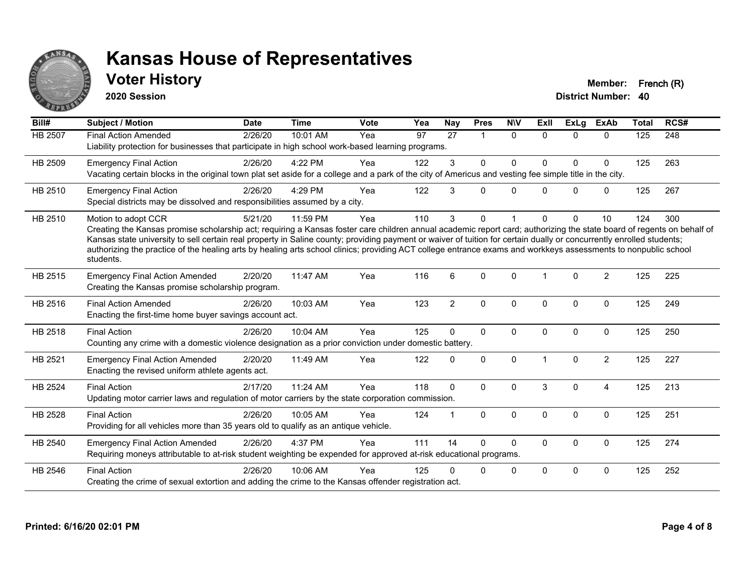

### **Voter History Member: French (R)**

**2020 Session**

| Bill#   | <b>Subject / Motion</b>                                                                                                                                                                                                                                                                                                                                                                                                                                                                                                                             | <b>Date</b> | <b>Time</b> | <b>Vote</b> | Yea | <b>Nay</b>     | <b>Pres</b>    | <b>NIV</b>   | ExII         | <b>ExLg</b>  | <b>ExAb</b>    | <b>Total</b> | RCS# |
|---------|-----------------------------------------------------------------------------------------------------------------------------------------------------------------------------------------------------------------------------------------------------------------------------------------------------------------------------------------------------------------------------------------------------------------------------------------------------------------------------------------------------------------------------------------------------|-------------|-------------|-------------|-----|----------------|----------------|--------------|--------------|--------------|----------------|--------------|------|
| HB 2507 | <b>Final Action Amended</b><br>Liability protection for businesses that participate in high school work-based learning programs.                                                                                                                                                                                                                                                                                                                                                                                                                    | 2/26/20     | 10:01 AM    | Yea         | 97  | 27             | $\overline{1}$ | $\mathbf{0}$ | $\Omega$     | $\Omega$     | $\Omega$       | 125          | 248  |
| HB 2509 | <b>Emergency Final Action</b><br>Vacating certain blocks in the original town plat set aside for a college and a park of the city of Americus and vesting fee simple title in the city.                                                                                                                                                                                                                                                                                                                                                             | 2/26/20     | 4:22 PM     | Yea         | 122 | 3              | $\mathbf 0$    | 0            | <sup>0</sup> | $\mathbf 0$  | $\mathbf 0$    | 125          | 263  |
| HB 2510 | <b>Emergency Final Action</b><br>Special districts may be dissolved and responsibilities assumed by a city.                                                                                                                                                                                                                                                                                                                                                                                                                                         | 2/26/20     | 4:29 PM     | Yea         | 122 | 3              | 0              | $\mathbf{0}$ | <sup>0</sup> | $\mathbf{0}$ | $\mathbf 0$    | 125          | 267  |
| HB 2510 | Motion to adopt CCR<br>Creating the Kansas promise scholarship act; requiring a Kansas foster care children annual academic report card; authorizing the state board of regents on behalf of<br>Kansas state university to sell certain real property in Saline county; providing payment or waiver of tuition for certain dually or concurrently enrolled students;<br>authorizing the practice of the healing arts by healing arts school clinics; providing ACT college entrance exams and workkeys assessments to nonpublic school<br>students. | 5/21/20     | 11:59 PM    | Yea         | 110 | 3              | 0              |              |              | $\Omega$     | 10             | 124          | 300  |
| HB 2515 | <b>Emergency Final Action Amended</b><br>Creating the Kansas promise scholarship program.                                                                                                                                                                                                                                                                                                                                                                                                                                                           | 2/20/20     | 11:47 AM    | Yea         | 116 | 6              | $\Omega$       | $\Omega$     |              | $\Omega$     | $\overline{2}$ | 125          | 225  |
| HB 2516 | <b>Final Action Amended</b><br>Enacting the first-time home buyer savings account act.                                                                                                                                                                                                                                                                                                                                                                                                                                                              | 2/26/20     | 10:03 AM    | Yea         | 123 | $\overline{c}$ | $\mathbf 0$    | 0            | $\Omega$     | $\mathbf 0$  | $\mathbf 0$    | 125          | 249  |
| HB 2518 | <b>Final Action</b><br>Counting any crime with a domestic violence designation as a prior conviction under domestic battery.                                                                                                                                                                                                                                                                                                                                                                                                                        | 2/26/20     | 10:04 AM    | Yea         | 125 | $\Omega$       | $\Omega$       | 0            | $\Omega$     | $\mathbf 0$  | $\mathbf 0$    | 125          | 250  |
| HB 2521 | <b>Emergency Final Action Amended</b><br>Enacting the revised uniform athlete agents act.                                                                                                                                                                                                                                                                                                                                                                                                                                                           | 2/20/20     | 11:49 AM    | Yea         | 122 | 0              | $\Omega$       | $\Omega$     |              | $\Omega$     | $\overline{2}$ | 125          | 227  |
| HB 2524 | <b>Final Action</b><br>Updating motor carrier laws and regulation of motor carriers by the state corporation commission.                                                                                                                                                                                                                                                                                                                                                                                                                            | 2/17/20     | 11:24 AM    | Yea         | 118 | $\Omega$       | $\Omega$       | $\mathbf{0}$ | 3            | $\Omega$     | 4              | 125          | 213  |
| HB 2528 | <b>Final Action</b><br>Providing for all vehicles more than 35 years old to qualify as an antique vehicle.                                                                                                                                                                                                                                                                                                                                                                                                                                          | 2/26/20     | 10:05 AM    | Yea         | 124 |                | $\Omega$       | $\mathbf{0}$ | $\Omega$     | $\mathbf{0}$ | $\mathbf{0}$   | 125          | 251  |
| HB 2540 | <b>Emergency Final Action Amended</b><br>Requiring moneys attributable to at-risk student weighting be expended for approved at-risk educational programs.                                                                                                                                                                                                                                                                                                                                                                                          | 2/26/20     | 4:37 PM     | Yea         | 111 | 14             | $\Omega$       | 0            | 0            | $\mathbf 0$  | $\mathbf 0$    | 125          | 274  |
| HB 2546 | <b>Final Action</b><br>Creating the crime of sexual extortion and adding the crime to the Kansas offender registration act.                                                                                                                                                                                                                                                                                                                                                                                                                         | 2/26/20     | 10:06 AM    | Yea         | 125 | U              | 0              | 0            | $\Omega$     | $\Omega$     | $\mathbf 0$    | 125          | 252  |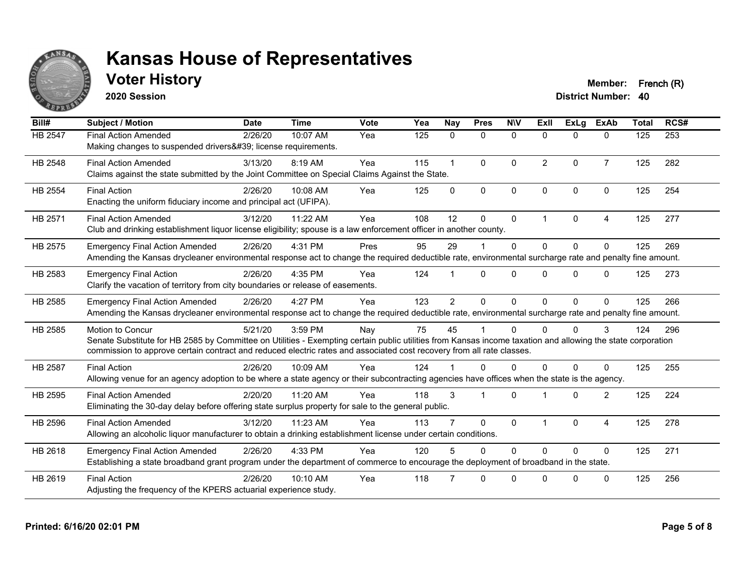

### **Voter History Member: French (R)**

**2020 Session**

| Bill#          | <b>Subject / Motion</b>                                                                                                                                                                                                                                                                                         | <b>Date</b> | <b>Time</b> | <b>Vote</b> | Yea | <b>Nay</b>   | <b>Pres</b>  | <b>NIV</b>   | ExII           | ExLg         | <b>ExAb</b>    | <b>Total</b> | RCS# |
|----------------|-----------------------------------------------------------------------------------------------------------------------------------------------------------------------------------------------------------------------------------------------------------------------------------------------------------------|-------------|-------------|-------------|-----|--------------|--------------|--------------|----------------|--------------|----------------|--------------|------|
| HB 2547        | <b>Final Action Amended</b><br>Making changes to suspended drivers' license requirements.                                                                                                                                                                                                                       | 2/26/20     | 10:07 AM    | Yea         | 125 | $\mathbf{0}$ | $\mathbf 0$  | $\mathbf 0$  | $\Omega$       | $\Omega$     | $\mathbf{0}$   | 125          | 253  |
| HB 2548        | <b>Final Action Amended</b><br>Claims against the state submitted by the Joint Committee on Special Claims Against the State.                                                                                                                                                                                   | 3/13/20     | 8:19 AM     | Yea         | 115 | $\mathbf{1}$ | $\mathbf{0}$ | $\Omega$     | $\overline{2}$ | $\Omega$     | $\overline{7}$ | 125          | 282  |
| HB 2554        | <b>Final Action</b><br>Enacting the uniform fiduciary income and principal act (UFIPA).                                                                                                                                                                                                                         | 2/26/20     | 10:08 AM    | Yea         | 125 | $\Omega$     | $\mathbf{0}$ | $\mathbf{0}$ | $\Omega$       | $\Omega$     | $\Omega$       | 125          | 254  |
| HB 2571        | <b>Final Action Amended</b><br>Club and drinking establishment liquor license eligibility; spouse is a law enforcement officer in another county.                                                                                                                                                               | 3/12/20     | 11:22 AM    | Yea         | 108 | 12           | $\mathbf{0}$ | $\mathbf 0$  | 1              | $\mathbf{0}$ | 4              | 125          | 277  |
| HB 2575        | <b>Emergency Final Action Amended</b><br>Amending the Kansas drycleaner environmental response act to change the required deductible rate, environmental surcharge rate and penalty fine amount.                                                                                                                | 2/26/20     | 4:31 PM     | Pres        | 95  | 29           |              | $\Omega$     | $\Omega$       | $\Omega$     | $\Omega$       | 125          | 269  |
| HB 2583        | <b>Emergency Final Action</b><br>Clarify the vacation of territory from city boundaries or release of easements.                                                                                                                                                                                                | 2/26/20     | 4:35 PM     | Yea         | 124 |              | $\Omega$     | $\Omega$     | $\Omega$       | $\Omega$     | $\Omega$       | 125          | 273  |
| HB 2585        | <b>Emergency Final Action Amended</b><br>Amending the Kansas drycleaner environmental response act to change the required deductible rate, environmental surcharge rate and penalty fine amount.                                                                                                                | 2/26/20     | 4:27 PM     | Yea         | 123 | 2            | $\Omega$     | $\Omega$     | $\Omega$       | $\Omega$     | $\Omega$       | 125          | 266  |
| HB 2585        | <b>Motion to Concur</b><br>Senate Substitute for HB 2585 by Committee on Utilities - Exempting certain public utilities from Kansas income taxation and allowing the state corporation<br>commission to approve certain contract and reduced electric rates and associated cost recovery from all rate classes. | 5/21/20     | 3:59 PM     | Nay         | 75  | 45           |              | $\Omega$     | $\Omega$       | $\Omega$     | 3              | 124          | 296  |
| <b>HB 2587</b> | <b>Final Action</b><br>Allowing venue for an agency adoption to be where a state agency or their subcontracting agencies have offices when the state is the agency.                                                                                                                                             | 2/26/20     | 10:09 AM    | Yea         | 124 |              | $\Omega$     | $\Omega$     | 0              | $\Omega$     | $\Omega$       | 125          | 255  |
| HB 2595        | <b>Final Action Amended</b><br>Eliminating the 30-day delay before offering state surplus property for sale to the general public.                                                                                                                                                                              | 2/20/20     | 11:20 AM    | Yea         | 118 | 3            |              | $\Omega$     |                | $\Omega$     | $\overline{2}$ | 125          | 224  |
| HB 2596        | <b>Final Action Amended</b><br>Allowing an alcoholic liquor manufacturer to obtain a drinking establishment license under certain conditions.                                                                                                                                                                   | 3/12/20     | 11:23 AM    | Yea         | 113 |              | $\mathbf{0}$ | $\Omega$     |                | $\Omega$     | 4              | 125          | 278  |
| HB 2618        | <b>Emergency Final Action Amended</b><br>Establishing a state broadband grant program under the department of commerce to encourage the deployment of broadband in the state.                                                                                                                                   | 2/26/20     | 4:33 PM     | Yea         | 120 | 5            | $\Omega$     | $\Omega$     | $\Omega$       | $\Omega$     | $\Omega$       | 125          | 271  |
| HB 2619        | <b>Final Action</b><br>Adjusting the frequency of the KPERS actuarial experience study.                                                                                                                                                                                                                         | 2/26/20     | $10:10$ AM  | Yea         | 118 |              | $\Omega$     | $\Omega$     | U              | <sup>n</sup> | $\Omega$       | 125          | 256  |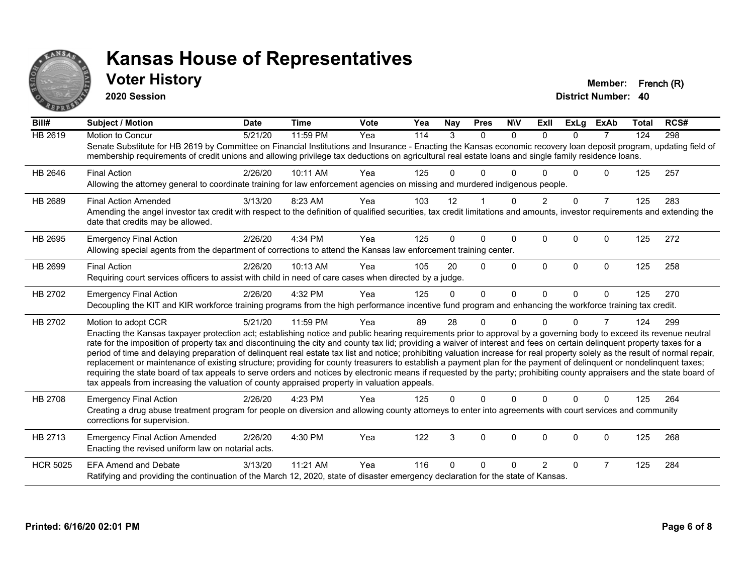

#### **Voter History Member: French (R)**

**2020 Session**

| Bill#           | <b>Subject / Motion</b>                                                                                                                                                                                                                                                                                                                                                                                                                                                                                                                                                                                                                                                                                                                                                                                                                                                                                                                                                                                       | <b>Date</b> | <b>Time</b> | <b>Vote</b> | Yea | Nay          | <b>Pres</b> | <b>NIV</b>   | ExII           | <b>ExLg</b>  | <b>ExAb</b>    | <b>Total</b> | RCS# |
|-----------------|---------------------------------------------------------------------------------------------------------------------------------------------------------------------------------------------------------------------------------------------------------------------------------------------------------------------------------------------------------------------------------------------------------------------------------------------------------------------------------------------------------------------------------------------------------------------------------------------------------------------------------------------------------------------------------------------------------------------------------------------------------------------------------------------------------------------------------------------------------------------------------------------------------------------------------------------------------------------------------------------------------------|-------------|-------------|-------------|-----|--------------|-------------|--------------|----------------|--------------|----------------|--------------|------|
| <b>HB 2619</b>  | Motion to Concur<br>Senate Substitute for HB 2619 by Committee on Financial Institutions and Insurance - Enacting the Kansas economic recovery loan deposit program, updating field of<br>membership requirements of credit unions and allowing privilege tax deductions on agricultural real estate loans and single family residence loans.                                                                                                                                                                                                                                                                                                                                                                                                                                                                                                                                                                                                                                                                 | 5/21/20     | 11:59 PM    | Yea         | 114 | 3            | $\Omega$    | $\Omega$     | $\Omega$       | $\Omega$     | $\overline{7}$ | 124          | 298  |
| HB 2646         | <b>Final Action</b><br>Allowing the attorney general to coordinate training for law enforcement agencies on missing and murdered indigenous people.                                                                                                                                                                                                                                                                                                                                                                                                                                                                                                                                                                                                                                                                                                                                                                                                                                                           | 2/26/20     | 10:11 AM    | Yea         | 125 |              | U           | ∩            |                | $\Omega$     | $\Omega$       | 125          | 257  |
| HB 2689         | <b>Final Action Amended</b><br>Amending the angel investor tax credit with respect to the definition of qualified securities, tax credit limitations and amounts, investor requirements and extending the<br>date that credits may be allowed.                                                                                                                                                                                                                                                                                                                                                                                                                                                                                                                                                                                                                                                                                                                                                                | 3/13/20     | 8:23 AM     | Yea         | 103 | 12           |             | $\Omega$     | $\overline{2}$ | $\mathbf 0$  | $\overline{7}$ | 125          | 283  |
| HB 2695         | <b>Emergency Final Action</b><br>Allowing special agents from the department of corrections to attend the Kansas law enforcement training center.                                                                                                                                                                                                                                                                                                                                                                                                                                                                                                                                                                                                                                                                                                                                                                                                                                                             | 2/26/20     | 4:34 PM     | Yea         | 125 | 0            | 0           | $\mathbf{0}$ | $\Omega$       | $\Omega$     | $\Omega$       | 125          | 272  |
| HB 2699         | <b>Final Action</b><br>Requiring court services officers to assist with child in need of care cases when directed by a judge.                                                                                                                                                                                                                                                                                                                                                                                                                                                                                                                                                                                                                                                                                                                                                                                                                                                                                 | 2/26/20     | 10:13 AM    | Yea         | 105 | 20           | $\Omega$    | $\Omega$     | $\Omega$       | $\Omega$     | $\mathbf{0}$   | 125          | 258  |
| HB 2702         | <b>Emergency Final Action</b><br>Decoupling the KIT and KIR workforce training programs from the high performance incentive fund program and enhancing the workforce training tax credit.                                                                                                                                                                                                                                                                                                                                                                                                                                                                                                                                                                                                                                                                                                                                                                                                                     | 2/26/20     | 4:32 PM     | Yea         | 125 | $\Omega$     | $\Omega$    | $\Omega$     | $\Omega$       | $\Omega$     | $\Omega$       | 125          | 270  |
| HB 2702         | Motion to adopt CCR<br>Enacting the Kansas taxpayer protection act; establishing notice and public hearing requirements prior to approval by a governing body to exceed its revenue neutral<br>rate for the imposition of property tax and discontinuing the city and county tax lid; providing a waiver of interest and fees on certain delinquent property taxes for a<br>period of time and delaying preparation of delinquent real estate tax list and notice; prohibiting valuation increase for real property solely as the result of normal repair,<br>replacement or maintenance of existing structure; providing for county treasurers to establish a payment plan for the payment of delinquent or nondelinquent taxes;<br>requiring the state board of tax appeals to serve orders and notices by electronic means if requested by the party; prohibiting county appraisers and the state board of<br>tax appeals from increasing the valuation of county appraised property in valuation appeals. | 5/21/20     | 11:59 PM    | Yea         | 89  | 28           | 0           | $\Omega$     |                | <sup>0</sup> | 7              | 124          | 299  |
| HB 2708         | <b>Emergency Final Action</b><br>Creating a drug abuse treatment program for people on diversion and allowing county attorneys to enter into agreements with court services and community<br>corrections for supervision.                                                                                                                                                                                                                                                                                                                                                                                                                                                                                                                                                                                                                                                                                                                                                                                     | 2/26/20     | 4:23 PM     | Yea         | 125 | $\Omega$     | $\Omega$    | $\mathbf 0$  | $\Omega$       | $\Omega$     | $\mathbf{0}$   | 125          | 264  |
| HB 2713         | <b>Emergency Final Action Amended</b><br>Enacting the revised uniform law on notarial acts.                                                                                                                                                                                                                                                                                                                                                                                                                                                                                                                                                                                                                                                                                                                                                                                                                                                                                                                   | 2/26/20     | 4:30 PM     | Yea         | 122 | 3            | 0           | 0            | $\Omega$       | 0            | 0              | 125          | 268  |
| <b>HCR 5025</b> | <b>EFA Amend and Debate</b><br>Ratifying and providing the continuation of the March 12, 2020, state of disaster emergency declaration for the state of Kansas.                                                                                                                                                                                                                                                                                                                                                                                                                                                                                                                                                                                                                                                                                                                                                                                                                                               | 3/13/20     | 11:21 AM    | Yea         | 116 | <sup>0</sup> | 0           | U            | $\mathcal{P}$  | $\Omega$     | $\overline{7}$ | 125          | 284  |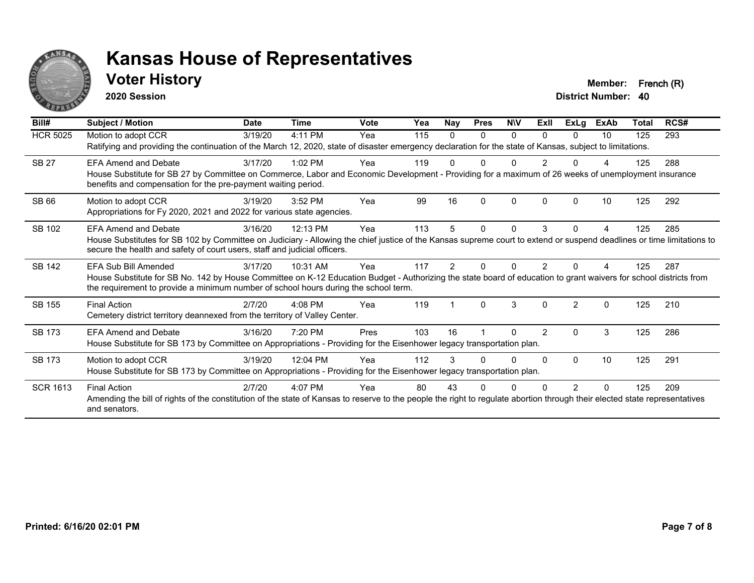

#### **Voter History Member: French (R)**

**2020 Session**

| Bill#           | <b>Subject / Motion</b>                                                                                                                                                                                                                                                           | <b>Date</b> | <b>Time</b> | Vote | Yea | <b>Nay</b>    | <b>Pres</b> | <b>NIV</b> | ExII          | ExLg          | <b>ExAb</b> | Total | RCS# |
|-----------------|-----------------------------------------------------------------------------------------------------------------------------------------------------------------------------------------------------------------------------------------------------------------------------------|-------------|-------------|------|-----|---------------|-------------|------------|---------------|---------------|-------------|-------|------|
| <b>HCR 5025</b> | Motion to adopt CCR<br>Ratifying and providing the continuation of the March 12, 2020, state of disaster emergency declaration for the state of Kansas, subject to limitations.                                                                                                   | 3/19/20     | 4:11 PM     | Yea  | 115 | 0             | $\Omega$    | $\Omega$   | 0             | 0             | 10          | 125   | 293  |
| <b>SB 27</b>    | <b>EFA Amend and Debate</b><br>House Substitute for SB 27 by Committee on Commerce, Labor and Economic Development - Providing for a maximum of 26 weeks of unemployment insurance<br>benefits and compensation for the pre-payment waiting period.                               | 3/17/20     | $1:02$ PM   | Yea  | 119 |               |             |            |               |               |             | 125   | 288  |
| <b>SB 66</b>    | Motion to adopt CCR<br>Appropriations for Fy 2020, 2021 and 2022 for various state agencies.                                                                                                                                                                                      | 3/19/20     | 3:52 PM     | Yea  | 99  | 16            | $\Omega$    | 0          |               |               | 10          | 125   | 292  |
| SB 102          | <b>EFA Amend and Debate</b><br>House Substitutes for SB 102 by Committee on Judiciary - Allowing the chief justice of the Kansas supreme court to extend or suspend deadlines or time limitations to<br>secure the health and safety of court users, staff and judicial officers. | 3/16/20     | 12:13 PM    | Yea  | 113 | 5.            | $\Omega$    | 0          | 3             | 0             |             | 125   | 285  |
| <b>SB 142</b>   | EFA Sub Bill Amended<br>House Substitute for SB No. 142 by House Committee on K-12 Education Budget - Authorizing the state board of education to grant waivers for school districts from<br>the requirement to provide a minimum number of school hours during the school term.  | 3/17/20     | 10:31 AM    | Yea  | 117 | $\mathcal{P}$ |             |            |               |               |             | 125   | 287  |
| <b>SB 155</b>   | <b>Final Action</b><br>Cemetery district territory deannexed from the territory of Valley Center.                                                                                                                                                                                 | 2/7/20      | $4:08$ PM   | Yea  | 119 |               | $\Omega$    | 3          | $\Omega$      | $\mathcal{P}$ | $\Omega$    | 125   | 210  |
| <b>SB 173</b>   | <b>EFA Amend and Debate</b><br>House Substitute for SB 173 by Committee on Appropriations - Providing for the Eisenhower legacy transportation plan.                                                                                                                              | 3/16/20     | 7:20 PM     | Pres | 103 | 16            |             | n          | $\mathcal{P}$ | 0             | 3           | 125   | 286  |
| <b>SB 173</b>   | Motion to adopt CCR<br>House Substitute for SB 173 by Committee on Appropriations - Providing for the Eisenhower legacy transportation plan.                                                                                                                                      | 3/19/20     | 12:04 PM    | Yea  | 112 |               |             | 0          | $\Omega$      | $\Omega$      | 10          | 125   | 291  |
| <b>SCR 1613</b> | <b>Final Action</b><br>Amending the bill of rights of the constitution of the state of Kansas to reserve to the people the right to regulate abortion through their elected state representatives<br>and senators.                                                                | 2/7/20      | $4:07$ PM   | Yea  | 80  | 43            |             |            |               | 2             | $\Omega$    | 125   | 209  |